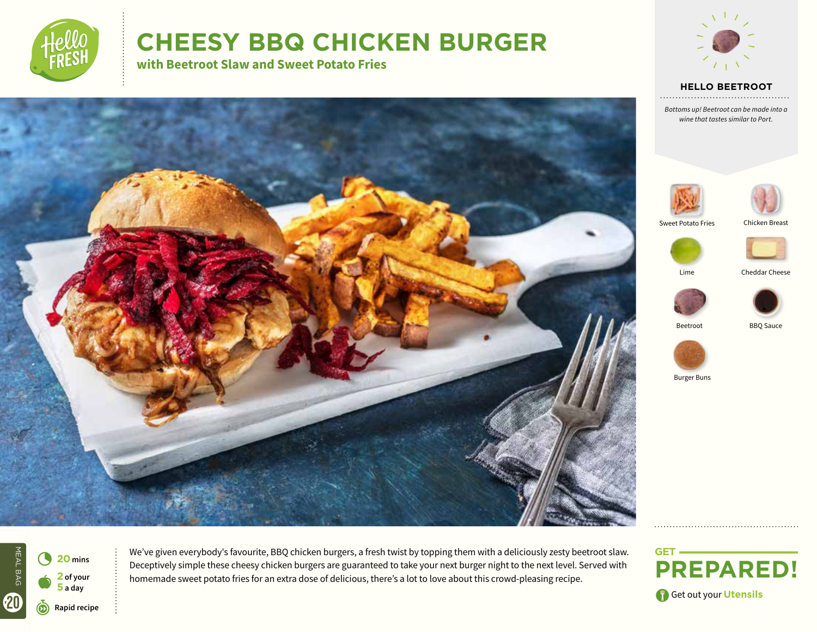

# **CHEESY BBQ CHICKEN BURGER**

**with Beetroot Slaw and Sweet Potato Fries**



**HELLO BEETROOT** 

*Bottoms up! Beetroot can be made into a wine that tastes similar to Port.*





Sweet Potato Fries



Lime

Cheddar Cheese





Beetroot





Burger Buns

MEAL BAG MEAL BAG 4 **<sup>20</sup> mins 2 of your**   $\bullet$ **5 a day** 20 r**Rapid recipe**